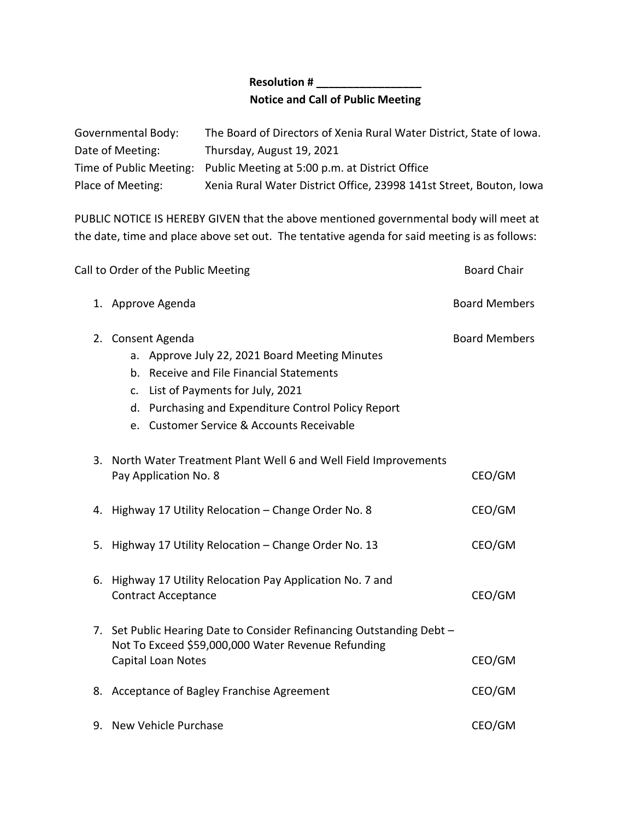## **Resolution # \_\_\_\_\_\_\_\_\_\_\_\_\_\_\_\_\_ Notice and Call of Public Meeting**

| Governmental Body: | The Board of Directors of Xenia Rural Water District, State of Iowa.   |
|--------------------|------------------------------------------------------------------------|
| Date of Meeting:   | Thursday, August 19, 2021                                              |
|                    | Time of Public Meeting: Public Meeting at 5:00 p.m. at District Office |
| Place of Meeting:  | Xenia Rural Water District Office, 23998 141st Street, Bouton, Iowa    |

PUBLIC NOTICE IS HEREBY GIVEN that the above mentioned governmental body will meet at the date, time and place above set out. The tentative agenda for said meeting is as follows:

| Call to Order of the Public Meeting |                                                                                                                                                                                                                                                           | <b>Board Chair</b>   |
|-------------------------------------|-----------------------------------------------------------------------------------------------------------------------------------------------------------------------------------------------------------------------------------------------------------|----------------------|
|                                     | 1. Approve Agenda                                                                                                                                                                                                                                         | <b>Board Members</b> |
|                                     | 2. Consent Agenda<br>a. Approve July 22, 2021 Board Meeting Minutes<br>b. Receive and File Financial Statements<br>c. List of Payments for July, 2021<br>d. Purchasing and Expenditure Control Policy Report<br>e. Customer Service & Accounts Receivable | <b>Board Members</b> |
|                                     | 3. North Water Treatment Plant Well 6 and Well Field Improvements<br>Pay Application No. 8                                                                                                                                                                | CEO/GM               |
|                                     | 4. Highway 17 Utility Relocation - Change Order No. 8                                                                                                                                                                                                     | CEO/GM               |
|                                     | 5. Highway 17 Utility Relocation - Change Order No. 13                                                                                                                                                                                                    | CEO/GM               |
| 6.                                  | Highway 17 Utility Relocation Pay Application No. 7 and<br><b>Contract Acceptance</b>                                                                                                                                                                     | CEO/GM               |
| 7.                                  | Set Public Hearing Date to Consider Refinancing Outstanding Debt -<br>Not To Exceed \$59,000,000 Water Revenue Refunding<br>Capital Loan Notes                                                                                                            | CEO/GM               |
|                                     | 8. Acceptance of Bagley Franchise Agreement                                                                                                                                                                                                               | CEO/GM               |
|                                     | 9. New Vehicle Purchase                                                                                                                                                                                                                                   | CEO/GM               |